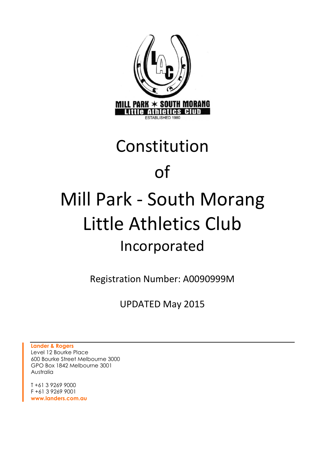

# Constitution of Mill Park - South Morang Little Athletics Club Incorporated

Registration Number: A0090999M

UPDATED May 2015

**Lander & Rogers** Level 12 Bourke Place 600 Bourke Street Melbourne 3000 GPO Box 1842 Melbourne 3001 Australia

T +61 3 9269 9000 F +61 3 9269 9001 **www.landers.com.au**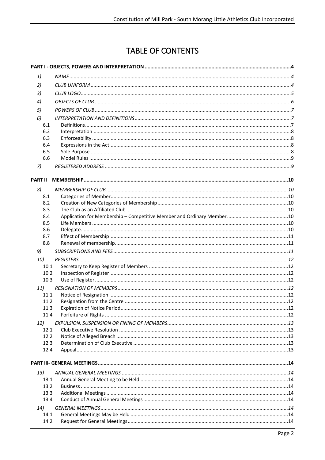# **TABLE OF CONTENTS**

| 1)           |  |  |  |
|--------------|--|--|--|
| 2)           |  |  |  |
| 3)           |  |  |  |
| 4)           |  |  |  |
| 5)           |  |  |  |
| 6)           |  |  |  |
| 6.1          |  |  |  |
| 6.2          |  |  |  |
| 6.3          |  |  |  |
| 6.4          |  |  |  |
| 6.5          |  |  |  |
| 6.6          |  |  |  |
| 7)           |  |  |  |
|              |  |  |  |
| 8)           |  |  |  |
| 8.1          |  |  |  |
| 8.2          |  |  |  |
| 8.3          |  |  |  |
| 8.4          |  |  |  |
| 8.5          |  |  |  |
| 8.6          |  |  |  |
| 8.7<br>8.8   |  |  |  |
|              |  |  |  |
| 9)           |  |  |  |
| 10)<br>10.1  |  |  |  |
| 10.2         |  |  |  |
| 10.3         |  |  |  |
| 11)          |  |  |  |
| 11.1         |  |  |  |
| 11.2         |  |  |  |
| 11.3         |  |  |  |
| 11.4         |  |  |  |
| 12)          |  |  |  |
| 12.1         |  |  |  |
| 12.2         |  |  |  |
| 12.3<br>12.4 |  |  |  |
|              |  |  |  |
|              |  |  |  |
| 13)          |  |  |  |
| 13.1         |  |  |  |
| 13.2         |  |  |  |
| 13.3         |  |  |  |
| 13.4         |  |  |  |
| 14)          |  |  |  |
| 14.1<br>14.2 |  |  |  |
|              |  |  |  |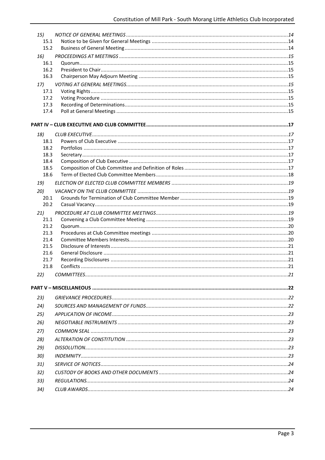| 15)          |  |
|--------------|--|
| 15.1         |  |
| 15.2         |  |
| 16)          |  |
| 16.1         |  |
| 16.2         |  |
| 16.3         |  |
| 17)          |  |
| 17.1         |  |
| 17.2         |  |
| 17.3         |  |
| 17.4         |  |
|              |  |
| 18)          |  |
| 18.1         |  |
| 18.2         |  |
| 18.3         |  |
| 18.4         |  |
| 18.5         |  |
| 18.6         |  |
| 19)          |  |
| 20)          |  |
| 20.1         |  |
| 20.2         |  |
| 21)          |  |
| 21.1         |  |
| 21.2         |  |
| 21.3         |  |
| 21.4         |  |
| 21.5         |  |
| 21.6<br>21.7 |  |
| 21.8         |  |
|              |  |
|              |  |
|              |  |
| 23)          |  |
| 24)          |  |
| 25)          |  |
| 26)          |  |
| 27)          |  |
| 28)          |  |
| 29)          |  |
| 30)          |  |
|              |  |
| 31)          |  |
| 32)          |  |
| 33)          |  |
| 34)          |  |
|              |  |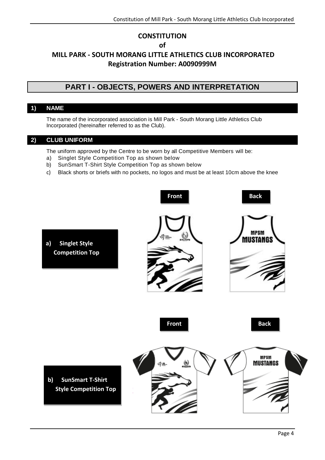# **CONSTITUTION of MILL PARK - SOUTH MORANG LITTLE ATHLETICS CLUB INCORPORATED Registration Number: A0090999M**

# **PART I - OBJECTS, POWERS AND INTERPRETATION**

# <span id="page-3-1"></span><span id="page-3-0"></span>**1) NAME**

The name of the incorporated association is Mill Park - South Morang Little Athletics Club Incorporated (hereinafter referred to as the Club).

# <span id="page-3-2"></span>**2) CLUB UNIFORM**

The uniform approved by the Centre to be worn by all Competitive Members will be:

- a) Singlet Style Competition Top as shown below
- b) SunSmart T-Shirt Style Competition Top as shown below
- c) Black shorts or briefs with no pockets, no logos and must be at least 10cm above the knee

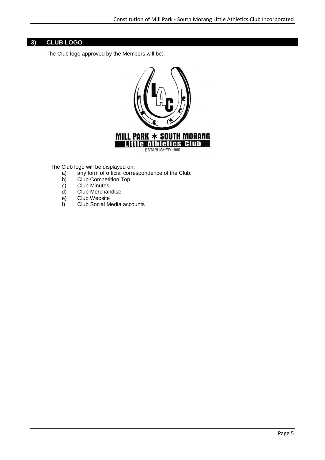# <span id="page-4-0"></span>**3) CLUB LOGO**

The Club logo approved by the Members will be:



The Club logo will be displayed on:

- a) any form of official correspondence of the Club;
- b) Club Competition Top
- c) Club Minutes
- d) Club Merchandise
- e) Club Website
- f) Club Social Media accounts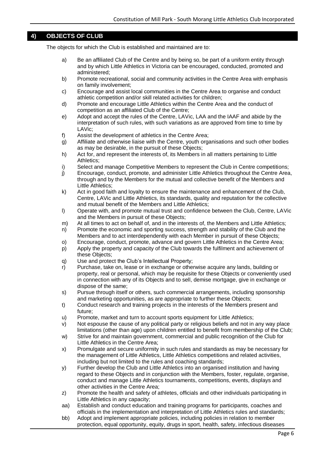# <span id="page-5-0"></span>**4) OBJECTS OF CLUB**

The objects for which the Club is established and maintained are to:

- a) Be an affiliated Club of the Centre and by being so, be part of a uniform entity through and by which Little Athletics in Victoria can be encouraged, conducted, promoted and administered;
- b) Promote recreational, social and community activities in the Centre Area with emphasis on family involvement;
- c) Encourage and assist local communities in the Centre Area to organise and conduct athletic competition and/or skill related activities for children;
- d) Promote and encourage Little Athletics within the Centre Area and the conduct of competition as an affiliated Club of the Centre;
- e) Adopt and accept the rules of the Centre, LAVic, LAA and the IAAF and abide by the interpretation of such rules, with such variations as are approved from time to time by LAVic;
- f) Assist the development of athletics in the Centre Area;
- g) Affiliate and otherwise liaise with the Centre, youth organisations and such other bodies as may be desirable, in the pursuit of these Objects;
- h) Act for, and represent the interests of, its Members in all matters pertaining to Little Athletics;
- i) Select and manage Competitive Members to represent the Club in Centre competitions;
- j) Encourage, conduct, promote, and administer Little Athletics throughout the Centre Area, through and by the Members for the mutual and collective benefit of the Members and Little Athletics;
- k) Act in good faith and loyalty to ensure the maintenance and enhancement of the Club, Centre, LAVic and Little Athletics, its standards, quality and reputation for the collective and mutual benefit of the Members and Little Athletics;
- l) Operate with, and promote mutual trust and confidence between the Club, Centre, LAVic and the Members in pursuit of these Objects;
- m) At all times to act on behalf of, and in the interests of, the Members and Little Athletics;
- n) Promote the economic and sporting success, strength and stability of the Club and the Members and to act interdependently with each Member in pursuit of these Objects;
- o) Encourage, conduct, promote, advance and govern Little Athletics in the Centre Area;
- p) Apply the property and capacity of the Club towards the fulfilment and achievement of these Objects;
- q) Use and protect the Club's Intellectual Property;
- r) Purchase, take on, lease or in exchange or otherwise acquire any lands, building or property, real or personal, which may be requisite for these Objects or conveniently used in connection with any of its Objects and to sell, demise mortgage, give in exchange or dispose of the same;
- s) Pursue through itself or others, such commercial arrangements, including sponsorship and marketing opportunities, as are appropriate to further these Objects;
- t) Conduct research and training projects in the interests of the Members present and future;
- u) Promote, market and turn to account sports equipment for Little Athletics;
- v) Not espouse the cause of any political party or religious beliefs and not in any way place limitations (other than age) upon children entitled to benefit from membership of the Club;
- w) Strive for and maintain government, commercial and public recognition of the Club for Little Athletics in the Centre Area;
- x) Promulgate and secure uniformity in such rules and standards as may be necessary for the management of Little Athletics, Little Athletics competitions and related activities, including but not limited to the rules and coaching standards;
- y) Further develop the Club and Little Athletics into an organised institution and having regard to these Objects and in conjunction with the Members, foster, regulate, organise, conduct and manage Little Athletics tournaments, competitions, events, displays and other activities in the Centre Area;
- z) Promote the health and safety of athletes, officials and other individuals participating in Little Athletics in any capacity;
- aa) Establish and conduct education and training programs for participants, coaches and officials in the implementation and interpretation of Little Athletics rules and standards;
- bb) Adopt and implement appropriate policies, including policies in relation to member protection, equal opportunity, equity, drugs in sport, health, safety, infectious diseases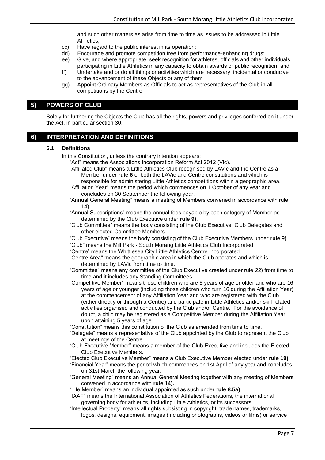and such other matters as arise from time to time as issues to be addressed in Little Athletics;

- cc) Have regard to the public interest in its operation;
- dd) Encourage and promote competition free from performance-enhancing drugs;
- ee) Give, and where appropriate, seek recognition for athletes, officials and other individuals participating in Little Athletics in any capacity to obtain awards or public recognition; and
- ff) Undertake and or do all things or activities which are necessary, incidental or conducive to the advancement of these Objects or any of them;
- gg) Appoint Ordinary Members as Officials to act as representatives of the Club in all competitions by the Centre.

# <span id="page-6-0"></span>**5) POWERS OF CLUB**

Solely for furthering the Objects the Club has all the rights, powers and privileges conferred on it under the Act, in particular section 30.

# <span id="page-6-2"></span><span id="page-6-1"></span>**6) INTERPRETATION AND DEFINITIONS**

#### **6.1 Definitions**

In this Constitution, unless the contrary intention appears:

- "Act" means the Associations Incorporation Reform Act 2012 (Vic).
- "Affiliated Club" means a Little Athletics Club recognised by LAVic and the Centre as a Member under **rule 6** of both the LAVic and Centre constitutions and which is responsible for administering Little Athletics competitions within a geographic area.
- "Affiliation Year" means the period which commences on 1 October of any year and concludes on 30 September the following year.
- "Annual General Meeting" means a meeting of Members convened in accordance with rule [14\).](#page-13-6)
- "Annual Subscriptions" means the annual fees payable by each category of Member as determined by the Club Executive under **rule [9\)](#page-10-2)**.
- "Club Committee" means the body consisting of the Club Executive, Club Delegates and other elected Committee Members.
- "Club Executive" means the body consisting of the Club Executive Members under **rule** [9\)](#page-10-2). "Club" means the Mill Park - South Morang Little Athletics Club Incorporated.
- "Centre" means the Whittlesea City Little Athletics Centre Incorporated.
- "Centre Area" means the geographic area in which the Club operates and which is determined by LAVic from time to time.
- "Committee" means any committee of the Club Executive created under rule [22\)](#page-20-4) from time to time and it includes any Standing Committees.
- "Competitive Member" means those children who are 5 years of age or older and who are 16 years of age or younger (including those children who turn 16 during the Affiliation Year) at the commencement of any Affiliation Year and who are registered with the Club (either directly or through a Centre) and participate in Little Athletics and/or skill related activities organised and conducted by the Club and/or Centre. For the avoidance of doubt, a child may be registered as a Competitive Member during the Affiliation Year upon attaining 5 years of age.

"Constitution" means this constitution of the Club as amended from time to time.

- "Delegate" means a representative of the Club appointed by the Club to represent the Club at meetings of the Centre.
- "Club Executive Member" means a member of the Club Executive and includes the Elected Club Executive Members.
- "Elected Club Executive Member" means a Club Executive Member elected under **rule [19\)](#page-18-0)**.
- "Financial Year" means the period which commences on 1st April of any year and concludes on 31st March the following year.
- "General Meeting" means an Annual General Meeting together with any meeting of Members convened in accordance with **rul[e 14\).](#page-13-6)**
- "Life Member" means an individual appointed as such under **rule [8.5a\)](#page-9-8)**.
- "IAAF" means the International Association of Athletics Federations, the international governing body for athletics, including Little Athletics, or its successors.
- "Intellectual Property" means all rights subsisting in copyright, trade names, trademarks, logos, designs, equipment, images (including photographs, videos or films) or service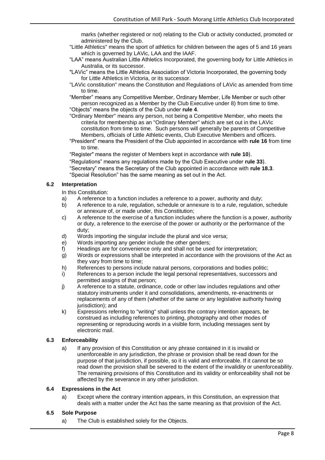marks (whether registered or not) relating to the Club or activity conducted, promoted or administered by the Club.

- "Little Athletics" means the sport of athletics for children between the ages of 5 and 16 years which is governed by LAVic, LAA and the IAAF.
- "LAA" means Australian Little Athletics Incorporated, the governing body for Little Athletics in Australia, or its successor.
- "LAVic" means the Little Athletics Association of Victoria Incorporated, the governing body for Little Athletics in Victoria, or its successor.
- "LAVic constitution" means the Constitution and Regulations of LAVic as amended from time to time.
- "Member" means any Competitive Member, Ordinary Member, Life Member or such other person recognized as a Member by the Club Executive under [8\)](#page-9-1) from time to time. "Objects" means the objects of the Club under **rule 4**.

"Ordinary Member" means any person, not being a Competitive Member, who meets the criteria for membership as an "Ordinary Member" which are set out in the LAVic constitution from time to time. Such persons will generally be parents of Competitive Members, officials of Little Athletic events, Club Executive Members and officers.

"President" means the President of the Club appointed in accordance with **rule 16** from time to time.

"Register" means the register of Members kept in accordance with **rule [10](#page-11-0)**).

"Regulations" means any regulations made by the Club Executive under **rule [33](#page-23-2)**). "Secretary" means the Secretary of the Club appointed in accordance with **rule [18.3](#page-16-4)**. "Special Resolution" has the same meaning as set out in the Act.

#### <span id="page-7-0"></span>**6.2 Interpretation**

In this Constitution:

- a) A reference to a function includes a reference to a power, authority and duty;
- b) A reference to a rule, regulation, schedule or annexure is to a rule, regulation, schedule or annexure of, or made under, this Constitution;
- c) A reference to the exercise of a function includes where the function is a power, authority or duty, a reference to the exercise of the power or authority or the performance of the duty;
- d) Words importing the singular include the plural and vice versa;
- e) Words importing any gender include the other genders;
- f) Headings are for convenience only and shall not be used for interpretation;
- g) Words or expressions shall be interpreted in accordance with the provisions of the Act as they vary from time to time;
- h) References to persons include natural persons, corporations and bodies politic;
- i) References to a person include the legal personal representatives, successors and permitted assigns of that person;
- j) A reference to a statute, ordinance, code or other law includes regulations and other statutory instruments under it and consolidations, amendments, re-enactments or replacements of any of them (whether of the same or any legislative authority having jurisdiction); and
- k) Expressions referring to "writing" shall unless the contrary intention appears, be construed as including references to printing, photography and other modes of representing or reproducing words in a visible form, including messages sent by electronic mail.

#### <span id="page-7-1"></span>**6.3 Enforceability**

a) If any provision of this Constitution or any phrase contained in it is invalid or unenforceable in any jurisdiction, the phrase or provision shall be read down for the purpose of that jurisdiction, if possible, so it is valid and enforceable. If it cannot be so read down the provision shall be severed to the extent of the invalidity or unenforceability. The remaining provisions of this Constitution and its validity or enforceability shall not be affected by the severance in any other jurisdiction.

#### <span id="page-7-2"></span>**6.4 Expressions in the Act**

a) Except where the contrary intention appears, in this Constitution, an expression that deals with a matter under the Act has the same meaning as that provision of the Act.

#### <span id="page-7-3"></span>**6.5 Sole Purpose**

a) The Club is established solely for the Objects.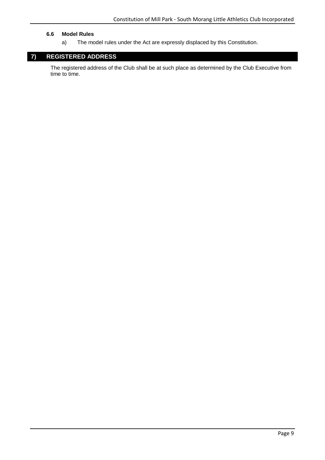#### <span id="page-8-0"></span>**6.6 Model Rules**

a) The model rules under the Act are expressly displaced by this Constitution.

# <span id="page-8-1"></span>**7) REGISTERED ADDRESS**

The registered address of the Club shall be at such place as determined by the Club Executive from time to time.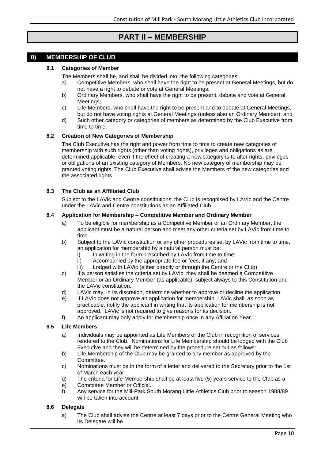# **PART II – MEMBERSHIP**

# <span id="page-9-2"></span><span id="page-9-1"></span><span id="page-9-0"></span>**8) MEMBERSHIP OF CLUB**

#### **8.1 Categories of Member**

The Members shall be, and shall be divided into, the following categories:

- a) Competitive Members, who shall have the right to be present at General Meetings, but do not have a right to debate or vote at General Meetings;
- b) Ordinary Members, who shall have the right to be present, debate and vote at General Meetings:
- c) Life Members, who shall have the right to be present and to debate at General Meetings, but do not have voting rights at General Meetings (unless also an Ordinary Member); and
- d) Such other category or categories of members as determined by the Club Executive from time to time.

#### <span id="page-9-3"></span>**8.2 Creation of New Categories of Membership**

The Club Executive has the right and power from time to time to create new categories of membership with such rights (other than voting rights), privileges and obligations as are determined applicable, even if the effect of creating a new category is to alter rights, privileges or obligations of an existing category of Members. No new category of membership may be granted voting rights. The Club Executive shall advise the Members of the new categories and the associated rights.

#### <span id="page-9-4"></span>**8.3 The Club as an Affiliated Club**

Subject to the LAVic and Centre constitutions, the Club is recognised by LAVic and the Centre under the LAVic and Centre constitutions as an Affiliated Club.

#### <span id="page-9-5"></span>**8.4 Application for Membership – Competitive Member and Ordinary Member**

- a) To be eligible for membership as a Competitive Member or an Ordinary Member, the applicant must be a natural person and meet any other criteria set by LAVic from time to time.
- b) Subject to the LAVic constitution or any other procedures set by LAVic from time to time, an application for membership by a natural person must be:
	- i) In writing in the form prescribed by LAVic from time to time;
	- ii) Accompanied by the appropriate fee or fees, if any; and
	- iii) Lodged with LAVic (either directly or through the Centre or the Club).
- c) If a person satisfies the criteria set by LAVic, they shall be deemed a Competitive Member or an Ordinary Member (as applicable), subject always to this Constitution and the LAVic constitution.
- d) LAVic may, in its discretion, determine whether to approve or decline the application.
- e) If LAVic does not approve an application for membership, LAVic shall, as soon as practicable, notify the applicant in writing that its application for membership is not approved. LAVic is not required to give reasons for its decision.
- f) An applicant may only apply for membership once in any Affiliation Year.

#### <span id="page-9-8"></span><span id="page-9-6"></span>**8.5 Life Members**

- a) Individuals may be appointed as Life Members of the Club in recognition of services rendered to the Club. Nominations for Life Membership should be lodged with the Club Executive and they will be determined by the procedure set out as follows:
- b) Life Membership of the Club may be granted to any member as approved by the Committee.
- c) Nominations must be in the form of a letter and delivered to the Secretary prior to the 1st of March each year
- d) The criteria for Life Membership shall be at least five (5) years service to the Club as a
- e) Committee Member or Official.
- f) Any service for the Mill-Park South Morang Little Athletics Club prior to season 1988/89 will be taken into account.

#### <span id="page-9-7"></span>**8.6 Delegate**

a) The Club shall advise the Centre at least 7 days prior to the Centre General Meeting who its Delegate will be.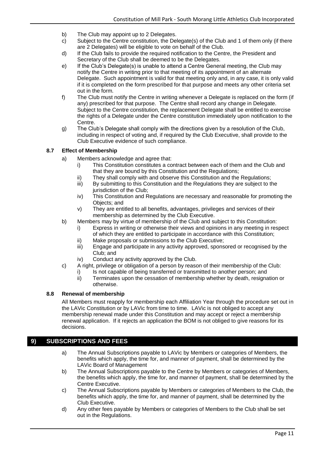- b) The Club may appoint up to 2 Delegates.
- c) Subject to the Centre constitution, the Delegate(s) of the Club and 1 of them only (if there are 2 Delegates) will be eligible to vote on behalf of the Club.
- d) If the Club fails to provide the required notification to the Centre, the President and Secretary of the Club shall be deemed to be the Delegates.
- e) If the Club's Delegate(s) is unable to attend a Centre General meeting, the Club may notify the Centre in writing prior to that meeting of its appointment of an alternate Delegate. Such appointment is valid for that meeting only and, in any case, it is only valid if it is completed on the form prescribed for that purpose and meets any other criteria set out in the form.
- f) The Club must notify the Centre in writing whenever a Delegate is replaced on the form (if any) prescribed for that purpose. The Centre shall record any change in Delegate. Subject to the Centre constitution, the replacement Delegate shall be entitled to exercise the rights of a Delegate under the Centre constitution immediately upon notification to the Centre.
- g) The Club's Delegate shall comply with the directions given by a resolution of the Club, including in respect of voting and, if required by the Club Executive, shall provide to the Club Executive evidence of such compliance.

#### <span id="page-10-0"></span>**8.7 Effect of Membership**

- a) Members acknowledge and agree that:
	- i) This Constitution constitutes a contract between each of them and the Club and that they are bound by this Constitution and the Regulations;
	- ii) They shall comply with and observe this Constitution and the Regulations;
	- iii) By submitting to this Constitution and the Regulations they are subject to the jurisdiction of the Club:
	- iv) This Constitution and Regulations are necessary and reasonable for promoting the Objects; and
	- v) They are entitled to all benefits, advantages, privileges and services of their membership as determined by the Club Executive.
- b) Members may by virtue of membership of the Club and subject to this Constitution:
	- i) Express in writing or otherwise their views and opinions in any meeting in respect of which they are entitled to participate in accordance with this Constitution;
	- ii) Make proposals or submissions to the Club Executive;
	- iii) Engage and participate in any activity approved, sponsored or recognised by the Club; and
	- iv) Conduct any activity approved by the Club.
- c) A right, privilege or obligation of a person by reason of their membership of the Club:
	- i) Is not capable of being transferred or transmitted to another person; and
	- ii) Terminates upon the cessation of membership whether by death, resignation or otherwise.

#### <span id="page-10-1"></span>**8.8 Renewal of membership**

All Members must reapply for membership each Affiliation Year through the procedure set out in the LAVic Constitution or by LAVic from time to time. LAVic is not obliged to accept any membership renewal made under this Constitution and may accept or reject a membership renewal application. If it rejects an application the BOM is not obliged to give reasons for its decisions.

# <span id="page-10-2"></span>**9) SUBSCRIPTIONS AND FEES**

- a) The Annual Subscriptions payable to LAVic by Members or categories of Members, the benefits which apply, the time for, and manner of payment, shall be determined by the LAVic Board of Management
- b) The Annual Subscriptions payable to the Centre by Members or categories of Members, the benefits which apply, the time for, and manner of payment, shall be determined by the Centre Executive.
- c) The Annual Subscriptions payable by Members or categories of Members to the Club, the benefits which apply, the time for, and manner of payment, shall be determined by the Club Executive.
- d) Any other fees payable by Members or categories of Members to the Club shall be set out in the Regulations.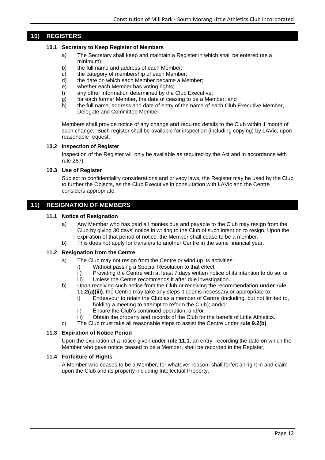# <span id="page-11-1"></span><span id="page-11-0"></span>**10) REGISTERS**

#### **10.1 Secretary to Keep Register of Members**

- a) The Secretary shall keep and maintain a Register in which shall be entered (as a minimum):
- b) the full name and address of each Member;
- c) the category of membership of each Member;
- d) the date on which each Member became a Member;
- e) whether each Member has voting rights;
- f) any other information determined by the Club Executive;
- g) for each former Member, the date of ceasing to be a Member; and
- h) the full name, address and date of entry of the name of each Club Executive Member, Delegate and Committee Member.

Members shall provide notice of any change and required details to the Club within 1 month of such change. Such register shall be available for inspection (including copying) by LAVic, upon reasonable request.

#### <span id="page-11-2"></span>**10.2 Inspection of Register**

Inspection of the Register will only be available as required by the Act and in accordance with rule 267).

#### <span id="page-11-3"></span>**10.3 Use of Register**

Subject to confidentiality considerations and privacy laws, the Register may be used by the Club to further the Objects, as the Club Executive in consultation with LAVic and the Centre considers appropriate.

# <span id="page-11-5"></span><span id="page-11-4"></span>**11) RESIGNATION OF MEMBERS**

#### **11.1 Notice of Resignation**

- a) Any Member who has paid all monies due and payable to the Club may resign from the Club by giving 30 days' notice in writing to the Club of such intention to resign. Upon the expiration of that period of notice, the Member shall cease to be a member.
- b) This does not apply for transfers to another Centre in the same financial year.

#### <span id="page-11-6"></span>**11.2 Resignation from the Centre**

- a) The Club may not resign from the Centre or wind up its activities:
	- i) Without passing a Special Resolution to that effect;
	- ii) Providing the Centre with at least 7 days written notice of its intention to do so; or
	- iii) Unless the Centre recommends it after due investigation.
- b) Upon receiving such notice from the Club or receiving the recommendation **under rule 11.2(a)(iii)**, the Centre may take any steps it deems necessary or appropriate to:
	- i) Endeavour to retain the Club as a member of Centre (including, but not limited to, holding a meeting to attempt to reform the Club); and/or
	- ii) Ensure the Club's continued operation; and/or
	- iii) Obtain the property and records of the Club for the benefit of Little Athletics.
- c) The Club must take all reasonable steps to assist the Centre under **rule 9.2(b)**.

#### <span id="page-11-7"></span>**11.3 Expiration of Notice Period**

Upon the expiration of a notice given under **rule 11.1**, an entry, recording the date on which the Member who gave notice ceased to be a Member, shall be recorded in the Register.

#### <span id="page-11-8"></span>**11.4 Forfeiture of Rights**

A Member who ceases to be a Member, for whatever reason, shall forfeit all right in and claim upon the Club and its property including Intellectual Property.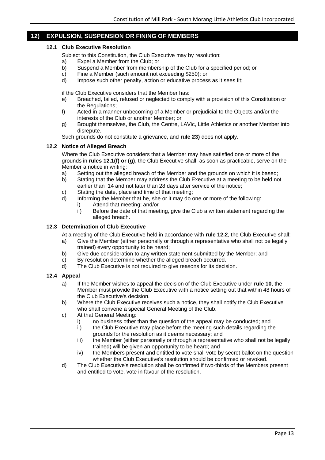# <span id="page-12-1"></span><span id="page-12-0"></span>**12) EXPULSION, SUSPENSION OR FINING OF MEMBERS**

#### **12.1 Club Executive Resolution**

- Subject to this Constitution, the Club Executive may by resolution:
- a) Expel a Member from the Club; or
- b) Suspend a Member from membership of the Club for a specified period; or
- c) Fine a Member (such amount not exceeding \$250); or d) Impose such other penalty, action or educative proces
- Impose such other penalty, action or educative process as it sees fit;

if the Club Executive considers that the Member has:

- e) Breached, failed, refused or neglected to comply with a provision of this Constitution or the Regulations;
- f) Acted in a manner unbecoming of a Member or prejudicial to the Objects and/or the interests of the Club or another Member; or
- g) Brought themselves, the Club, the Centre, LAVic, Little Athletics or another Member into disrepute.

Such grounds do not constitute a grievance, and **rule [23\)](#page-21-1)** does not apply.

#### <span id="page-12-2"></span>**12.2 Notice of Alleged Breach**

Where the Club Executive considers that a Member may have satisfied one or more of the grounds in **rules 12.1(f) or (g)**, the Club Executive shall, as soon as practicable, serve on the Member a notice in writing:

- a) Setting out the alleged breach of the Member and the grounds on which it is based;
- b) Stating that the Member may address the Club Executive at a meeting to be held not earlier than 14 and not later than 28 days after service of the notice;
- c) Stating the date, place and time of that meeting;
- d) Informing the Member that he, she or it may do one or more of the following:
	- i) Attend that meeting; and/or
		- ii) Before the date of that meeting, give the Club a written statement regarding the alleged breach.

#### <span id="page-12-3"></span>**12.3 Determination of Club Executive**

At a meeting of the Club Executive held in accordance with **rule 12.2**, the Club Executive shall:

- a) Give the Member (either personally or through a representative who shall not be legally trained) every opportunity to be heard;
- b) Give due consideration to any written statement submitted by the Member; and
- c) By resolution determine whether the alleged breach occurred.
- d) The Club Executive is not required to give reasons for its decision.

#### <span id="page-12-4"></span>**12.4 Appeal**

- a) If the Member wishes to appeal the decision of the Club Executive under **rule 10**, the Member must provide the Club Executive with a notice setting out that within 48 hours of the Club Executive's decision.
- b) Where the Club Executive receives such a notice, they shall notify the Club Executive who shall convene a special General Meeting of the Club.
- c) At that General Meeting:
	- i) no business other than the question of the appeal may be conducted; and
	- ii) the Club Executive may place before the meeting such details regarding the grounds for the resolution as it deems necessary; and
	- iii) the Member (either personally or through a representative who shall not be legally trained) will be given an opportunity to be heard; and
	- iv) the Members present and entitled to vote shall vote by secret ballot on the question whether the Club Executive's resolution should be confirmed or revoked.
- d) The Club Executive's resolution shall be confirmed if two-thirds of the Members present and entitled to vote, vote in favour of the resolution.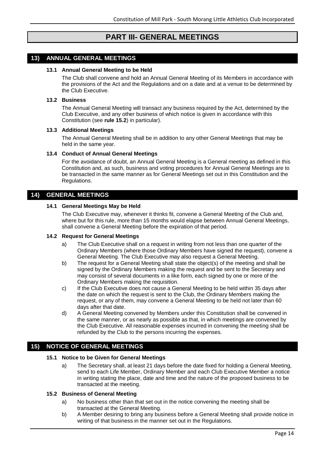# **PART III- GENERAL MEETINGS**

# <span id="page-13-2"></span><span id="page-13-1"></span><span id="page-13-0"></span>**13) ANNUAL GENERAL MEETINGS**

#### **13.1 Annual General Meeting to be Held**

The Club shall convene and hold an Annual General Meeting of its Members in accordance with the provisions of the Act and the Regulations and on a date and at a venue to be determined by the Club Executive.

#### <span id="page-13-3"></span>**13.2 Business**

The Annual General Meeting will transact any business required by the Act, determined by the Club Executive, and any other business of which notice is given in accordance with this Constitution (see **rule 15.2**) in particular).

#### <span id="page-13-4"></span>**13.3 Additional Meetings**

The Annual General Meeting shall be in addition to any other General Meetings that may be held in the same year.

#### <span id="page-13-5"></span>**13.4 Conduct of Annual General Meetings**

For the avoidance of doubt, an Annual General Meeting is a General meeting as defined in this Constitution and, as such, business and voting procedures for Annual General Meetings are to be transacted in the same manner as for General Meetings set out in this Constitution and the Regulations.

#### <span id="page-13-7"></span><span id="page-13-6"></span>**14) GENERAL MEETINGS**

#### **14.1 General Meetings May be Held**

The Club Executive may, whenever it thinks fit, convene a General Meeting of the Club and, where but for this rule, more than 15 months would elapse between Annual General Meetings, shall convene a General Meeting before the expiration of that period.

#### <span id="page-13-8"></span>**14.2 Request for General Meetings**

- a) The Club Executive shall on a request in writing from not less than one quarter of the Ordinary Members (where those Ordinary Members have signed the request), convene a General Meeting. The Club Executive may also request a General Meeting.
- b) The request for a General Meeting shall state the object(s) of the meeting and shall be signed by the Ordinary Members making the request and be sent to the Secretary and may consist of several documents in a like form, each signed by one or more of the Ordinary Members making the requisition.
- c) If the Club Executive does not cause a General Meeting to be held within 35 days after the date on which the request is sent to the Club, the Ordinary Members making the request, or any of them, may convene a General Meeting to be held not later than 60 days after that date.
- d) A General Meeting convened by Members under this Constitution shall be convened in the same manner, or as nearly as possible as that, in which meetings are convened by the Club Executive. All reasonable expenses incurred in convening the meeting shall be refunded by the Club to the persons incurring the expenses.

# <span id="page-13-10"></span><span id="page-13-9"></span>**15) NOTICE OF GENERAL MEETINGS**

#### **15.1 Notice to be Given for General Meetings**

a) The Secretary shall, at least 21 days before the date fixed for holding a General Meeting, send to each Life Member, Ordinary Member and each Club Executive Member a notice in writing stating the place, date and time and the nature of the proposed business to be transacted at the meeting.

#### <span id="page-13-11"></span>**15.2 Business of General Meeting**

- a) No business other than that set out in the notice convening the meeting shall be transacted at the General Meeting.
- b) A Member desiring to bring any business before a General Meeting shall provide notice in writing of that business in the manner set out in the Regulations.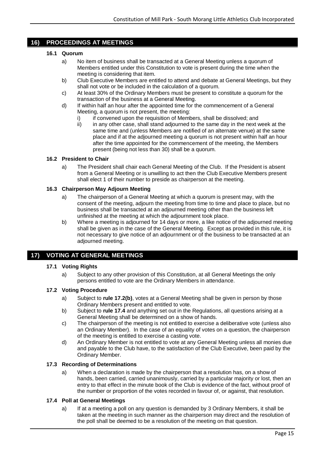# <span id="page-14-1"></span><span id="page-14-0"></span>**16) PROCEEDINGS AT MEETINGS**

#### **16.1 Quorum**

- a) No item of business shall be transacted at a General Meeting unless a quorum of Members entitled under this Constitution to vote is present during the time when the meeting is considering that item.
- b) Club Executive Members are entitled to attend and debate at General Meetings, but they shall not vote or be included in the calculation of a quorum.
- c) At least 30% of the Ordinary Members must be present to constitute a quorum for the transaction of the business at a General Meeting.
- d) If within half an hour after the appointed time for the commencement of a General Meeting, a quorum is not present, the meeting:
	- i) if convened upon the requisition of Members, shall be dissolved; and
	- ii) in any other case, shall stand adjourned to the same day in the next week at the same time and (unless Members are notified of an alternate venue) at the same place and if at the adjourned meeting a quorum is not present within half an hour after the time appointed for the commencement of the meeting, the Members present (being not less than 30) shall be a quorum.

#### <span id="page-14-2"></span>**16.2 President to Chair**

a) The President shall chair each General Meeting of the Club. If the President is absent from a General Meeting or is unwilling to act then the Club Executive Members present shall elect 1 of their number to preside as chairperson at the meeting.

#### <span id="page-14-3"></span>**16.3 Chairperson May Adjourn Meeting**

- a) The chairperson of a General Meeting at which a quorum is present may, with the consent of the meeting, adjourn the meeting from time to time and place to place, but no business shall be transacted at an adjourned meeting other than the business left unfinished at the meeting at which the adjournment took place.
- b) Where a meeting is adjourned for 14 days or more, a like notice of the adjourned meeting shall be given as in the case of the General Meeting. Except as provided in this rule, it is not necessary to give notice of an adjournment or of the business to be transacted at an adjourned meeting.

# <span id="page-14-5"></span><span id="page-14-4"></span>**17) VOTING AT GENERAL MEETINGS**

#### **17.1 Voting Rights**

a) Subject to any other provision of this Constitution, at all General Meetings the only persons entitled to vote are the Ordinary Members in attendance.

#### <span id="page-14-6"></span>**17.2 Voting Procedure**

- a) Subject to **rule 17.2(b)**, votes at a General Meeting shall be given in person by those Ordinary Members present and entitled to vote.
- b) Subject to **rule 17.4** and anything set out in the Regulations, all questions arising at a General Meeting shall be determined on a show of hands.
- c) The chairperson of the meeting is not entitled to exercise a deliberative vote (unless also an Ordinary Member). In the case of an equality of votes on a question, the chairperson of the meeting is entitled to exercise a casting vote.
- d) An Ordinary Member is not entitled to vote at any General Meeting unless all monies due and payable to the Club have, to the satisfaction of the Club Executive, been paid by the Ordinary Member.

#### <span id="page-14-7"></span>**17.3 Recording of Determinations**

a) When a declaration is made by the chairperson that a resolution has, on a show of hands, been carried, carried unanimously, carried by a particular majority or lost, then an entry to that effect in the minute book of the Club is evidence of the fact, without proof of the number or proportion of the votes recorded in favour of, or against, that resolution.

#### <span id="page-14-8"></span>**17.4 Poll at General Meetings**

a) If at a meeting a poll on any question is demanded by 3 Ordinary Members, it shall be taken at the meeting in such manner as the chairperson may direct and the resolution of the poll shall be deemed to be a resolution of the meeting on that question.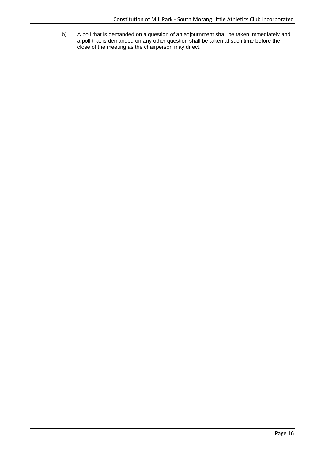b) A poll that is demanded on a question of an adjournment shall be taken immediately and a poll that is demanded on any other question shall be taken at such time before the close of the meeting as the chairperson may direct.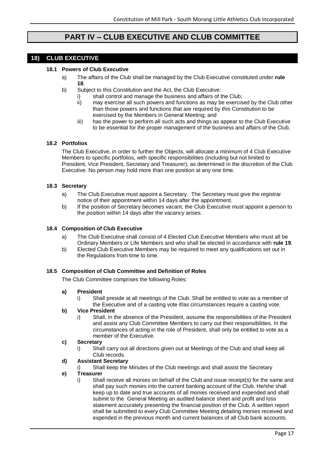# **PART IV – CLUB EXECUTIVE AND CLUB COMMITTEE**

# <span id="page-16-2"></span><span id="page-16-1"></span><span id="page-16-0"></span>**18) CLUB EXECUTIVE**

## **18.1 Powers of Club Executive**

- a) The affairs of the Club shall be managed by the Club Executive constituted under **rule 18**.
- b) Subject to this Constitution and the Act, the Club Executive:
	- i) shall control and manage the business and affairs of the Club;
	- ii) may exercise all such powers and functions as may be exercised by the Club other than those powers and functions that are required by this Constitution to be exercised by the Members in General Meeting; and
	- iii) has the power to perform all such acts and things as appear to the Club Executive to be essential for the proper management of the business and affairs of the Club.

# <span id="page-16-3"></span>**18.2 Portfolios**

The Club Executive, in order to further the Objects, will allocate a minimum of 4 Club Executive Members to specific portfolios, with specific responsibilities (including but not limited to President, Vice President, Secretary and Treasurer), as determined in the discretion of the Club Executive. No person may hold more than one position at any one time.

#### <span id="page-16-4"></span>**18.3 Secretary**

- a) The Club Executive must appoint a Secretary. The Secretary must give the registrar notice of their appointment within 14 days after the appointment.
- b) If the position of Secretary becomes vacant, the Club Executive must appoint a person to the position within 14 days after the vacancy arises.

#### <span id="page-16-5"></span>**18.4 Composition of Club Executive**

- a) The Club Executive shall consist of 4 Elected Club Executive Members who must all be Ordinary Members or Life Members and who shall be elected in accordance with **rule 19**.
- b) Elected Club Executive Members may be required to meet any qualifications set out in the Regulations from time to time.

#### <span id="page-16-6"></span>**18.5 Composition of Club Committee and Definition of Roles**

The Club Committee comprises the following Roles:

#### **a) President**

i) Shall preside at all meetings of the Club. Shall be entitled to vote as a member of the Executive and of a casting vote if/as circumstances require a casting vote.

#### **b) Vice President**

i) Shall, in the absence of the President, assume the responsibilities of the President and assist any Club Committee Members to carry out their responsibilities. In the circumstances of acting in the role of President, shall only be entitled to vote as a member of the Executive.

#### **c) Secretary**

i) Shall carry out all directions given out at Meetings of the Club and shall keep all Club records.

#### **d) Assistant Secretary**

i) Shall keep the Minutes of the Club meetings and shall assist the Secretary

#### **e) Treasurer**

i) Shall receive all monies on behalf of the Club and issue receipt(s) for the same and shall pay such monies into the current banking account of the Club. He/she shall keep up to date and true accounts of all monies received and expended and shall submit to the General Meeting an audited balance sheet and profit and loss statement accurately presenting the financial position of the Club. A written report shall be submitted to every Club Committee Meeting detailing monies received and expended in the previous month and current balances of all Club bank accounts.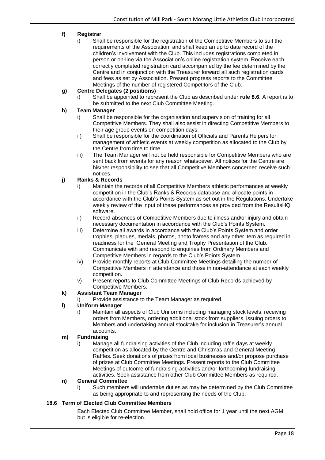# **f) Registrar**

i) Shall be responsible for the registration of the Competitive Members to suit the requirements of the Association, and shall keep an up to date record of the children's involvement with the Club. This includes registrations completed in person or on-line via the Association's online registration system. Receive each correctly completed registration card accompanied by the fee determined by the Centre and in conjunction with the Treasurer forward all such registration cards and fees as set by Association. Present progress reports to the Committee Meetings of the number of registered Competitors of the Club.

## **g) Centre Delegates (2 positions)**

i) Shall be appointed to represent the Club as described under **rule 8.6.** A report is to be submitted to the next Club Committee Meeting.

#### **h) Team Manager**

- i) Shall be responsible for the organisation and supervision of training for all Competitive Members. They shall also assist in directing Competitive Members to their age group events on competition days.
- ii) Shall be responsible for the coordination of Officials and Parents Helpers for management of athletic events at weekly competition as allocated to the Club by the Centre from time to time.
- iii) The Team Manager will not be held responsible for Competitive Members who are sent back from events for any reason whatsoever. All notices for the Centre are his/her responsibility to see that all Competitive Members concerned receive such notices.

#### **j) Ranks & Records**

- i) Maintain the records of all Competitive Members athletic performances at weekly competition in the Club's Ranks & Records database and allocate points in accordance with the Club's Points System as set out in the Regulations. Undertake weekly review of the input of these performances as provided from the ResultsHQ software.
- ii) Record absences of Competitive Members due to illness and/or injury and obtain necessary documentation in accordance with the Club's Points System.
- iii) Determine all awards in accordance with the Club's Points System and order trophies, plaques, medals, photos, photo frames and any other item as required in readiness for the General Meeting and Trophy Presentation of the Club. Communicate with and respond to enquiries from Ordinary Members and Competitive Members in regards to the Club's Points System.
- iv) Provide monthly reports at Club Committee Meetings detailing the number of Competitive Members in attendance and those in non-attendance at each weekly competition.
- v) Present reports to Club Committee Meetings of Club Records achieved by Competitive Members.

#### **k) Assistant Team Manager**

Provide assistance to the Team Manager as required.

#### **l) Uniform Manager**

i) Maintain all aspects of Club Uniforms including managing stock levels, receiving orders from Members, ordering additional stock from suppliers, issuing orders to Members and undertaking annual stocktake for inclusion in Treasurer's annual accounts.

#### **m) Fundraising**

i) Manage all fundraising activities of the Club including raffle days at weekly competition as allocated by the Centre and Christmas and General Meeting Raffles. Seek donations of prizes from local businesses and/or propose purchase of prizes at Club Committee Meetings. Present reports to the Club Committee Meetings of outcome of fundraising activities and/or forthcoming fundraising activities. Seek assistance from other Club Committee Members as required.

#### **n) General Committee**

i) Such members will undertake duties as may be determined by the Club Committee as being appropriate to and representing the needs of the Club.

#### <span id="page-17-0"></span>**18.6 Term of Elected Club Committee Members**

Each Elected Club Committee Member, shall hold office for 1 year until the next AGM, but is eligible for re-election.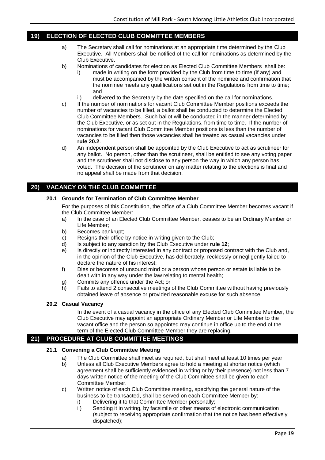# <span id="page-18-0"></span>**19) ELECTION OF ELECTED CLUB COMMITTEE MEMBERS**

- a) The Secretary shall call for nominations at an appropriate time determined by the Club Executive. All Members shall be notified of the call for nominations as determined by the Club Executive.
- b) Nominations of candidates for election as Elected Club Committee Members shall be:
	- i) made in writing on the form provided by the Club from time to time (if any) and must be accompanied by the written consent of the nominee and confirmation that the nominee meets any qualifications set out in the Regulations from time to time; and
	- ii) delivered to the Secretary by the date specified on the call for nominations.
- c) If the number of nominations for vacant Club Committee Member positions exceeds the number of vacancies to be filled, a ballot shall be conducted to determine the Elected Club Committee Members. Such ballot will be conducted in the manner determined by the Club Executive, or as set out in the Regulations, from time to time. If the number of nominations for vacant Club Committee Member positions is less than the number of vacancies to be filled then those vacancies shall be treated as casual vacancies under **rule 20.2**.
- d) An independent person shall be appointed by the Club Executive to act as scrutineer for any ballot. No person, other than the scrutineer, shall be entitled to see any voting paper and the scrutineer shall not disclose to any person the way in which any person has voted. The decision of the scrutineer on any matter relating to the elections is final and no appeal shall be made from that decision.

#### <span id="page-18-2"></span><span id="page-18-1"></span>**20) VACANCY ON THE CLUB COMMITTEE**

#### **20.1 Grounds for Termination of Club Committee Member**

For the purposes of this Constitution, the office of a Club Committee Member becomes vacant if the Club Committee Member:

- a) In the case of an Elected Club Committee Member, ceases to be an Ordinary Member or Life Member;
- b) Becomes bankrupt;
- c) Resigns their office by notice in writing given to the Club;
- d) Is subject to any sanction by the Club Executive under **rule 12**;
- e) Is directly or indirectly interested in any contract or proposed contract with the Club and, in the opinion of the Club Executive, has deliberately, recklessly or negligently failed to declare the nature of his interest;
- f) Dies or becomes of unsound mind or a person whose person or estate is liable to be dealt with in any way under the law relating to mental health;
- g) Commits any offence under the Act; or
- h) Fails to attend 2 consecutive meetings of the Club Committee without having previously obtained leave of absence or provided reasonable excuse for such absence.

#### <span id="page-18-3"></span>**20.2 Casual Vacancy**

In the event of a casual vacancy in the office of any Elected Club Committee Member, the Club Executive may appoint an appropriate Ordinary Member or Life Member to the vacant office and the person so appointed may continue in office up to the end of the term of the Elected Club Committee Member they are replacing.

# <span id="page-18-5"></span><span id="page-18-4"></span>**21) PROCEDURE AT CLUB COMMITTEE MEETINGS**

#### **21.1 Convening a Club Committee Meeting**

- a) The Club Committee shall meet as required, but shall meet at least 10 times per year.
- b) Unless all Club Executive Members agree to hold a meeting at shorter notice (which agreement shall be sufficiently evidenced in writing or by their presence) not less than 7 days written notice of the meeting of the Club Committee shall be given to each Committee Member.
- c) Written notice of each Club Committee meeting, specifying the general nature of the business to be transacted, shall be served on each Committee Member by:
	- i) Delivering it to that Committee Member personally;
	- ii) Sending it in writing, by facsimile or other means of electronic communication (subject to receiving appropriate confirmation that the notice has been effectively dispatched);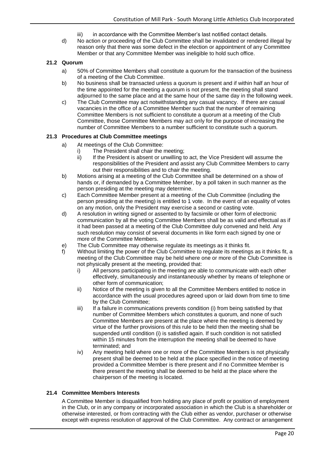- iii) in accordance with the Committee Member's last notified contact details.
- d) No action or proceeding of the Club Committee shall be invalidated or rendered illegal by reason only that there was some defect in the election or appointment of any Committee Member or that any Committee Member was ineligible to hold such office.

#### <span id="page-19-0"></span>**21.2 Quorum**

- a) 50% of Committee Members shall constitute a quorum for the transaction of the business of a meeting of the Club Committee.
- b) No business shall be transacted unless a quorum is present and if within half an hour of the time appointed for the meeting a quorum is not present, the meeting shall stand adjourned to the same place and at the same hour of the same day in the following week.
- c) The Club Committee may act notwithstanding any casual vacancy. If there are casual vacancies in the office of a Committee Member such that the number of remaining Committee Members is not sufficient to constitute a quorum at a meeting of the Club Committee, those Committee Members may act only for the purpose of increasing the number of Committee Members to a number sufficient to constitute such a quorum.

#### <span id="page-19-1"></span>**21.3 Procedures at Club Committee meetings**

- a) At meetings of the Club Committee:
	- i) The President shall chair the meeting;
		- ii) If the President is absent or unwilling to act, the Vice President will assume the responsibilities of the President and assist any Club Committee Members to carry out their responsibilities and to chair the meeting.
- b) Motions arising at a meeting of the Club Committee shall be determined on a show of hands or, if demanded by a Committee Member, by a poll taken in such manner as the person presiding at the meeting may determine.
- c) Each Committee Member present at a meeting of the Club Committee (including the person presiding at the meeting) is entitled to 1 vote. In the event of an equality of votes on any motion, only the President may exercise a second or casting vote.
- d) A resolution in writing signed or assented to by facsimile or other form of electronic communication by all the voting Committee Members shall be as valid and effectual as if it had been passed at a meeting of the Club Committee duly convened and held. Any such resolution may consist of several documents in like form each signed by one or more of the Committee Members.
- e) The Club Committee may otherwise regulate its meetings as it thinks fit.
- f) Without limiting the power of the Club Committee to regulate its meetings as it thinks fit, a meeting of the Club Committee may be held where one or more of the Club Committee is not physically present at the meeting, provided that:
	- i) All persons participating in the meeting are able to communicate with each other effectively, simultaneously and instantaneously whether by means of telephone or other form of communication;
	- ii) Notice of the meeting is given to all the Committee Members entitled to notice in accordance with the usual procedures agreed upon or laid down from time to time by the Club Committee;
	- iii) If a failure in communications prevents condition (i) from being satisfied by that number of Committee Members which constitutes a quorum, and none of such Committee Members are present at the place where the meeting is deemed by virtue of the further provisions of this rule to be held then the meeting shall be suspended until condition (i) is satisfied again. If such condition is not satisfied within 15 minutes from the interruption the meeting shall be deemed to have terminated; and
	- iv) Any meeting held where one or more of the Committee Members is not physically present shall be deemed to be held at the place specified in the notice of meeting provided a Committee Member is there present and if no Committee Member is there present the meeting shall be deemed to be held at the place where the chairperson of the meeting is located.

#### <span id="page-19-2"></span>**21.4 Committee Members Interests**

A Committee Member is disqualified from holding any place of profit or position of employment in the Club, or in any company or incorporated association in which the Club is a shareholder or otherwise interested, or from contracting with the Club either as vendor, purchaser or otherwise except with express resolution of approval of the Club Committee. Any contract or arrangement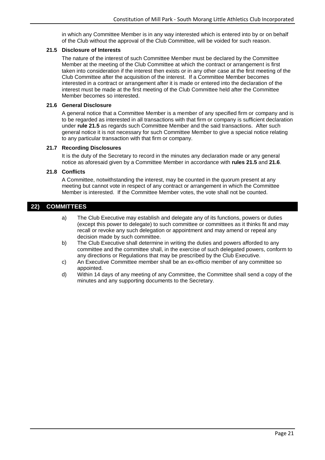in which any Committee Member is in any way interested which is entered into by or on behalf of the Club without the approval of the Club Committee, will be voided for such reason.

#### <span id="page-20-0"></span>**21.5 Disclosure of Interests**

The nature of the interest of such Committee Member must be declared by the Committee Member at the meeting of the Club Committee at which the contract or arrangement is first taken into consideration if the interest then exists or in any other case at the first meeting of the Club Committee after the acquisition of the interest. If a Committee Member becomes interested in a contract or arrangement after it is made or entered into the declaration of the interest must be made at the first meeting of the Club Committee held after the Committee Member becomes so interested.

#### <span id="page-20-1"></span>**21.6 General Disclosure**

A general notice that a Committee Member is a member of any specified firm or company and is to be regarded as interested in all transactions with that firm or company is sufficient declaration under **rule 21.5** as regards such Committee Member and the said transactions. After such general notice it is not necessary for such Committee Member to give a special notice relating to any particular transaction with that firm or company.

#### <span id="page-20-2"></span>**21.7 Recording Disclosures**

It is the duty of the Secretary to record in the minutes any declaration made or any general notice as aforesaid given by a Committee Member in accordance with **rules 21.5** and **21.6**.

#### <span id="page-20-3"></span>**21.8 Conflicts**

A Committee, notwithstanding the interest, may be counted in the quorum present at any meeting but cannot vote in respect of any contract or arrangement in which the Committee Member is interested. If the Committee Member votes, the vote shall not be counted.

# <span id="page-20-4"></span>**22) COMMITTEES**

- a) The Club Executive may establish and delegate any of its functions, powers or duties (except this power to delegate) to such committee or committees as it thinks fit and may recall or revoke any such delegation or appointment and may amend or repeal any decision made by such committee.
- b) The Club Executive shall determine in writing the duties and powers afforded to any committee and the committee shall, in the exercise of such delegated powers, conform to any directions or Regulations that may be prescribed by the Club Executive.
- c) An Executive Committee member shall be an ex-officio member of any committee so appointed.
- d) Within 14 days of any meeting of any Committee, the Committee shall send a copy of the minutes and any supporting documents to the Secretary.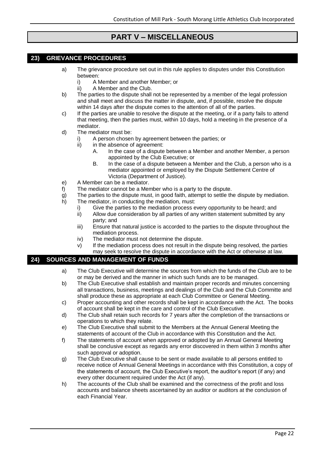# **PART V – MISCELLANEOUS**

# <span id="page-21-1"></span><span id="page-21-0"></span>**23) GRIEVANCE PROCEDURES**

- a) The grievance procedure set out in this rule applies to disputes under this Constitution between:
	- i) A Member and another Member; or
	- ii) A Member and the Club.
- b) The parties to the dispute shall not be represented by a member of the legal profession and shall meet and discuss the matter in dispute, and, if possible, resolve the dispute within 14 days after the dispute comes to the attention of all of the parties.
- c) If the parties are unable to resolve the dispute at the meeting, or if a party fails to attend that meeting, then the parties must, within 10 days, hold a meeting in the presence of a mediator.
- d) The mediator must be:
	- i) A person chosen by agreement between the parties; or
	- ii) in the absence of agreement:
		- A. In the case of a dispute between a Member and another Member, a person appointed by the Club Executive; or
		- B. In the case of a dispute between a Member and the Club, a person who is a mediator appointed or employed by the Dispute Settlement Centre of Victoria (Department of Justice).
- e) A Member can be a mediator.
- f) The mediator cannot be a Member who is a party to the dispute.
- g) The parties to the dispute must, in good faith, attempt to settle the dispute by mediation.
- h) The mediator, in conducting the mediation, must:
	- i) Give the parties to the mediation process every opportunity to be heard; and<br>ii) Allow due consideration by all parties of any written statement submitted by a
	- Allow due consideration by all parties of any written statement submitted by any party; and
	- iii) Ensure that natural justice is accorded to the parties to the dispute throughout the mediation process.
	- iv) The mediator must not determine the dispute.
	- v) If the mediation process does not result in the dispute being resolved, the parties may seek to resolve the dispute in accordance with the Act or otherwise at law.

# <span id="page-21-2"></span>**24) SOURCES AND MANAGEMENT OF FUNDS**

- a) The Club Executive will determine the sources from which the funds of the Club are to be or may be derived and the manner in which such funds are to be managed.
- b) The Club Executive shall establish and maintain proper records and minutes concerning all transactions, business, meetings and dealings of the Club and the Club Committe and shall produce these as appropriate at each Club Committee or General Meeting.
- c) Proper accounting and other records shall be kept in accordance with the Act. The books of account shall be kept in the care and control of the Club Executive.
- d) The Club shall retain such records for 7 years after the completion of the transactions or operations to which they relate.
- e) The Club Executive shall submit to the Members at the Annual General Meeting the statements of account of the Club in accordance with this Constitution and the Act.
- f) The statements of account when approved or adopted by an Annual General Meeting shall be conclusive except as regards any error discovered in them within 3 months after such approval or adoption.
- g) The Club Executive shall cause to be sent or made available to all persons entitled to receive notice of Annual General Meetings in accordance with this Constitution, a copy of the statements of account, the Club Executive's report, the auditor's report (if any) and every other document required under the Act (if any).
- h) The accounts of the Club shall be examined and the correctness of the profit and loss accounts and balance sheets ascertained by an auditor or auditors at the conclusion of each Financial Year.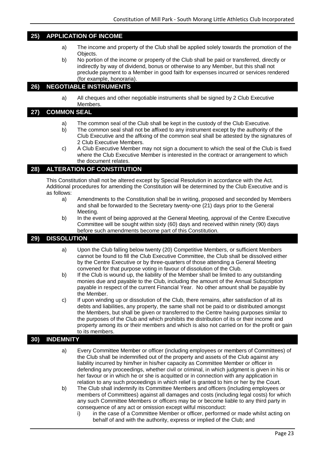# <span id="page-22-0"></span>**25) APPLICATION OF INCOME**

- a) The income and property of the Club shall be applied solely towards the promotion of the Objects.
- b) No portion of the income or property of the Club shall be paid or transferred, directly or indirectly by way of dividend, bonus or otherwise to any Member, but this shall not preclude payment to a Member in good faith for expenses incurred or services rendered (for example, honoraria).

# <span id="page-22-1"></span>**26) NEGOTIABLE INSTRUMENTS**

a) All cheques and other negotiable instruments shall be signed by 2 Club Executive Members.

#### <span id="page-22-2"></span>**27) COMMON SEAL**

- a) The common seal of the Club shall be kept in the custody of the Club Executive.
- b) The common seal shall not be affixed to any instrument except by the authority of the Club Executive and the affixing of the common seal shall be attested by the signatures of 2 Club Executive Members.
- c) A Club Executive Member may not sign a document to which the seal of the Club is fixed where the Club Executive Member is interested in the contract or arrangement to which the document relates.

# <span id="page-22-3"></span>**28) ALTERATION OF CONSTITUTION**

This Constitution shall not be altered except by Special Resolution in accordance with the Act. Additional procedures for amending the Constitution will be determined by the Club Executive and is as follows:

- a) Amendments to the Constitution shall be in writing, proposed and seconded by Members and shall be forwarded to the Secretary twenty-one (21) days prior to the General Meeting.
- b) In the event of being approved at the General Meeting, approval of the Centre Executive Committee will be sought within sixty (60) days and received within ninety (90) days before such amendments become part of this Constitution.

# <span id="page-22-4"></span>**29) DISSOLUTION**

- a) Upon the Club falling below twenty (20) Competitive Members, or sufficient Members cannot be found to fill the Club Executive Committee, the Club shall be dissolved either by the Centre Executive or by three-quarters of those attending a General Meeting convened for that purpose voting in favour of dissolution of the Club.
- b) If the Club is wound up, the liability of the Member shall be limited to any outstanding monies due and payable to the Club, including the amount of the Annual Subscription payable in respect of the current Financial Year. No other amount shall be payable by the Member.
- c) If upon winding up or dissolution of the Club, there remains, after satisfaction of all its debts and liabilities, any property, the same shall not be paid to or distributed amongst the Members, but shall be given or transferred to the Centre having purposes similar to the purposes of the Club and which prohibits the distribution of its or their income and property among its or their members and which is also not carried on for the profit or gain to its members.

# <span id="page-22-5"></span>**30) INDEMNITY**

- a) Every Committee Member or officer (including employees or members of Committees) of the Club shall be indemnified out of the property and assets of the Club against any liability incurred by him/her in his/her capacity as Committee Member or officer in defending any proceedings, whether civil or criminal, in which judgment is given in his or her favour or in which he or she is acquitted or in connection with any application in relation to any such proceedings in which relief is granted to him or her by the Court.
- b) The Club shall indemnify its Committee Members and officers (including employees or members of Committees) against all damages and costs (including legal costs) for which any such Committee Members or officers may be or become liable to any third party in consequence of any act or omission except wilful misconduct:
	- i) in the case of a Committee Member or officer, performed or made whilst acting on behalf of and with the authority, express or implied of the Club; and